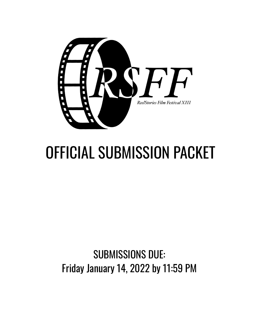

# OFFICIAL SUBMISSION PACKET

## SUBMISSIONS DUE: Friday January 14, 2022 by 11:59 PM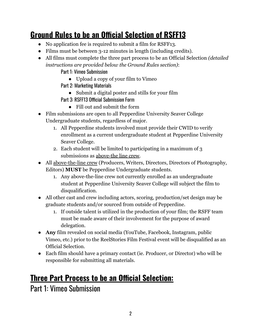### **Ground Rules to be an Official Selection of RSFF13**

- No application fee is required to submit a film for RSFF13.
- Films must be between 3-12 minutes in length (including credits).
- All films must complete the three part process to be an Official Selection *(detailed instructions are provided below the Ground Rules section)*:
	- Part 1: Vimeo Submission
		- Upload a copy of your film to Vimeo
	- Part 2: Marketing Materials
		- Submit a digital poster and stills for your film
	- Part 3: RSFF13 Official Submission Form
		- Fill out and submit the form
- Film submissions are open to all Pepperdine University Seaver College Undergraduate students, regardless of major.
	- 1. All Pepperdine students involved must provide their CWID to verify enrollment as a current undergraduate student at Pepperdine University Seaver College.
	- 2. Each student will be limited to participating in a maximum of 3 submissions as above-the line crew.
- All above-the-line crew (Producers, Writers, Directors, Directors of Photography, Editors) **MUST** be Pepperdine Undergraduate students.
	- 1. Any above-the-line crew not currently enrolled as an undergraduate student at Pepperdine University Seaver College will subject the film to disqualification.
- All other cast and crew including actors, scoring, production/set design may be graduate students and/or sourced from outside of Pepperdine.
	- 1. If outside talent is utilized in the production of your film; the RSFF team must be made aware of their involvement for the purpose of award delegation.
- **Any** film revealed on social media (YouTube, Facebook, Instagram, public Vimeo, etc.) prior to the ReelStories Film Festival event will be disqualified as an Official Selection.
- Each film should have a primary contact (ie. Producer, or Director) who will be responsible for submitting all materials.

#### **Three Part Process to be an Official Selection:**

Part 1: Vimeo Submission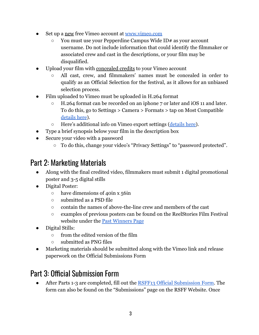- Set up a new free Vimeo account at [www.vimeo.com](http://www.vimeo.com)
	- You must use your Pepperdine Campus Wide ID# as your account username. Do not include information that could identify the filmmaker or associated crew and cast in the descriptions, or your film may be disqualified.
- Upload your film with concealed credits to your Vimeo account
	- All cast, crew, and filmmakers' names must be concealed in order to qualify as an Official Selection for the festival, as it allows for an unbiased selection process.
- Film uploaded to Vimeo must be uploaded in H.264 format
	- H.264 format can be recorded on an iphone 7 or later and iOS 11 and later. To do this, go to Settings > Camera > Formats > tap on Most Compatible [details here](https://support.apple.com/en-us/HT207022)).
	- Here's additional info on Vimeo export settings [\(details](https://vimeo.com/help/compression) here).
- Type a brief synopsis below your film in the description box
- Secure your video with a password
	- To do this, change your video's "Privacy Settings" to "password protected".

#### Part 2: Marketing Materials

- Along with the final credited video, filmmakers must submit 1 digital promotional poster and 3-5 digital stills
- Digital Poster:
	- $\circ$  have dimensions of 40in x 56in
	- submitted as a PSD file
	- contain the names of above-the-line crew and members of the cast
	- examples of previous posters can be found on the ReelStories Film Festival website under the [Past Winners Page](https://www.reelstoriesfilmfestival.com/pastwinners)
- Digital Stills:
	- from the edited version of the film
	- submitted as PNG files
- Marketing materials should be submitted along with the Vimeo link and release paperwork on the Official Submissions Form

#### Part 3: Official Submission Form

• After Parts 1-3 are completed, fill out the RSFF13 [Official Submission Form.](http://bit.ly/rsff13officialsubmissionform) The form can also be found on the "Submissions" page on the RSFF Website. Once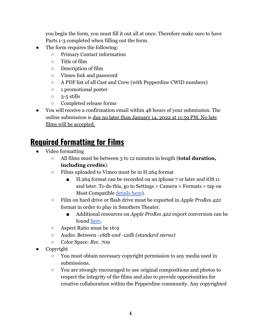you begin the form, you must fill it out all at once. Therefore make sure to have Parts 1-3 completed when filling out the form.

- The form requires the following:
	- Primary Contact information
	- Title of film
	- Description of film
	- Vimeo link and password
	- A PDF list of all Cast and Crew (with Pepperdine CWID numbers)
	- 1 promotional poster
	- $\circ$  3-5 stills
	- Completed release forms
- You will receive a confirmation email within 48 hours of your submission. The online submission is due no later than January 14, 2022 at 11:59 PM. No late films will be accepted.

#### **Required Formatting for Films**

- Video formatting
	- All films must be between 3 to 12 minutes in length (**total duration, including credits**).
	- Films uploaded to Vimeo must be in H.264 format
		- H.264 format can be recorded on an iphone 7 or later and iOS 11 and later. To do this, go to Settings > Camera > Formats > tap on Most Compatible [details here](https://support.apple.com/en-us/HT207022)).
	- Film on hard drive or flash drive must be exported in *Apple ProRes 422* format in order to play in Smothers Theater.
		- Additional resources on *Apple ProRes 422* export conversion can be found [here.](https://videoconverter.wondershare.com/convert-fcp/premiere-prores.html)
	- Aspect Ratio must be 16:9
	- Audio: Between *-18db and -12db (standard stereo)*
	- Color Space: *Rec. 709*
- Copyright
	- You must obtain necessary copyright permission to any media used in submissions.
	- You are strongly encouraged to use original compositions and photos to respect the integrity of the films and also to provide opportunities for creative collaboration within the Pepperdine community. Any copyrighted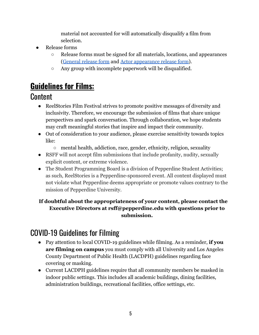material not accounted for will automatically disqualify a film from selection.

- **Release forms** 
	- Release forms must be signed for all materials, locations, and appearances [\(General release form](https://ccce426a-2a76-481f-a674-8497b3cf0777.filesusr.com/ugd/8fbcd0_2dd5ca092eae45458443f4072994f57d.pdf) and [Actor appearance release](https://ccce426a-2a76-481f-a674-8497b3cf0777.filesusr.com/ugd/8fbcd0_2c075d8f2a4f43d3a69360c87e1158fa.pdf) form).
	- Any group with incomplete paperwork will be disqualified.

#### **Guidelines for Films:**

#### **Content**

- ReelStories Film Festival strives to promote positive messages of diversity and inclusivity. Therefore, we encourage the submission of films that share unique perspectives and spark conversation. Through collaboration, we hope students may craft meaningful stories that inspire and impact their community.
- Out of consideration to your audience, please exercise sensitivity towards topics like:
	- mental health, addiction, race, gender, ethnicity, religion, sexuality
- RSFF will not accept film submissions that include profanity, nudity, sexually explicit content, or extreme violence.
- The Student Programming Board is a division of Pepperdine Student Activities; as such, ReelStories is a Pepperdine-sponsored event. All content displayed must not violate what Pepperdine deems appropriate or promote values contrary to the mission of Pepperdine University.

#### **If doubtful about the appropriateness of your content, please contact the Executive Directors at rsff@pepperdine.edu with questions prior to submission.**

#### COVID-19 Guidelines for Filming

- Pay attention to local COVID-19 guidelines while filming. As a reminder, **if you are filming on campus** you must comply with all University and Los Angeles County Department of Public Health (LACDPH) guidelines regarding face covering or masking.
- Current LACDPH guidelines require that all community members be masked in indoor public settings. This includes all academic buildings, dining facilities, administration buildings, recreational facilities, office settings, etc.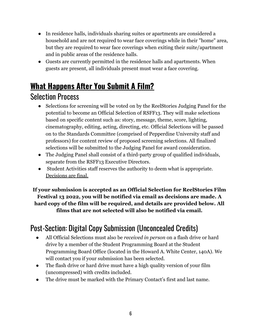- In residence halls, individuals sharing suites or apartments are considered a household and are not required to wear face coverings while in their "home" area, but they are required to wear face coverings when exiting their suite/apartment and in public areas of the residence halls.
- Guests are currently permitted in the residence halls and apartments. When guests are present, all individuals present must wear a face covering.

## **What Happens After You Submit A Film?**

#### Selection Process

- Selections for screening will be voted on by the ReelStories Judging Panel for the potential to become an Official Selection of RSFF13. They will make selections based on specific content such as: story, message, theme, score, lighting, cinematography, editing, acting, directing, etc. Official Selections will be passed on to the Standards Committee (comprised of Pepperdine University staff and professors) for content review of proposed screening selections. All finalized selections will be submitted to the Judging Panel for award consideration.
- The Judging Panel shall consist of a third-party group of qualified individuals, separate from the RSFF13 Executive Directors.
- Student Activities staff reserves the authority to deem what is appropriate. Decisions are final.

**If your submission is accepted as an Official Selection for ReelStories Film Festival 13 2022, you will be notified via email as decisions are made. A hard copy of the film will be required, and details are provided below. All films that are not selected will also be notified via email.**

#### Post-Section: Digital Copy Submission (Unconcealed Credits)

- All Official Selections must also be *received in person* on a flash drive or hard drive by a member of the Student Programming Board at the Student Programming Board Office (located in the Howard A. White Center, 140A). We will contact you if your submission has been selected.
- The flash drive or hard drive must have a high quality version of your film (uncompressed) with credits included.
- The drive must be marked with the Primary Contact's first and last name.